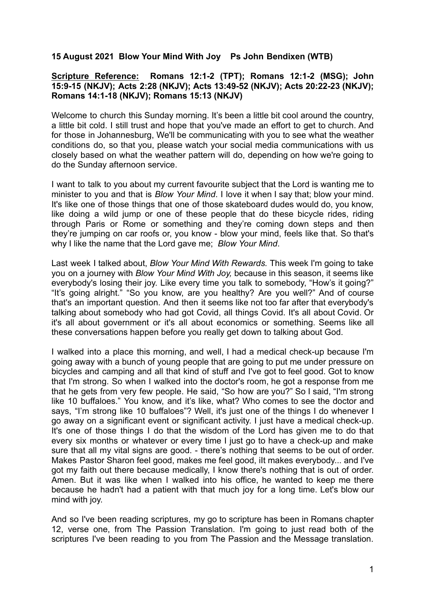## **15 August 2021 Blow Your Mind With Joy Ps John Bendixen (WTB)**

## **Scripture Reference: Romans 12:1-2 (TPT); Romans 12:1-2 (MSG); John 15:9-15 (NKJV); Acts 2:28 (NKJV); Acts 13:49-52 (NKJV); Acts 20:22-23 (NKJV); Romans 14:1-18 (NKJV); Romans 15:13 (NKJV)**

Welcome to church this Sunday morning. It's been a little bit cool around the country. a little bit cold. I still trust and hope that you've made an effort to get to church. And for those in Johannesburg, We'll be communicating with you to see what the weather conditions do, so that you, please watch your social media communications with us closely based on what the weather pattern will do, depending on how we're going to do the Sunday afternoon service.

I want to talk to you about my current favourite subject that the Lord is wanting me to minister to you and that is *Blow Your Mind*. I love it when I say that; blow your mind. It's like one of those things that one of those skateboard dudes would do, you know, like doing a wild jump or one of these people that do these bicycle rides, riding through Paris or Rome or something and they're coming down steps and then they're jumping on car roofs or, you know - blow your mind, feels like that. So that's why I like the name that the Lord gave me; *Blow Your Mind*.

Last week I talked about, *Blow Your Mind With Rewards.* This week I'm going to take you on a journey with *Blow Your Mind With Joy,* because in this season, it seems like everybody's losing their joy. Like every time you talk to somebody, "How's it going?" "It's going alright." "So you know, are you healthy? Are you well?" And of course that's an important question. And then it seems like not too far after that everybody's talking about somebody who had got Covid, all things Covid. It's all about Covid. Or it's all about government or it's all about economics or something. Seems like all these conversations happen before you really get down to talking about God.

I walked into a place this morning, and well, I had a medical check-up because I'm going away with a bunch of young people that are going to put me under pressure on bicycles and camping and all that kind of stuff and I've got to feel good. Got to know that I'm strong. So when I walked into the doctor's room, he got a response from me that he gets from very few people. He said, "So how are you?" So I said, "I'm strong like 10 buffaloes." You know, and it's like, what? Who comes to see the doctor and says, "I'm strong like 10 buffaloes"? Well, it's just one of the things I do whenever I go away on a significant event or significant activity. I just have a medical check-up. It's one of those things I do that the wisdom of the Lord has given me to do that every six months or whatever or every time I just go to have a check-up and make sure that all my vital signs are good. - there's nothing that seems to be out of order. Makes Pastor Sharon feel good, makes me feel good, iIt makes everybody... and I've got my faith out there because medically, I know there's nothing that is out of order. Amen. But it was like when I walked into his office, he wanted to keep me there because he hadn't had a patient with that much joy for a long time. Let's blow our mind with joy.

And so I've been reading scriptures, my go to scripture has been in Romans chapter 12, verse one, from The Passion Translation. I'm going to just read both of the scriptures I've been reading to you from The Passion and the Message translation.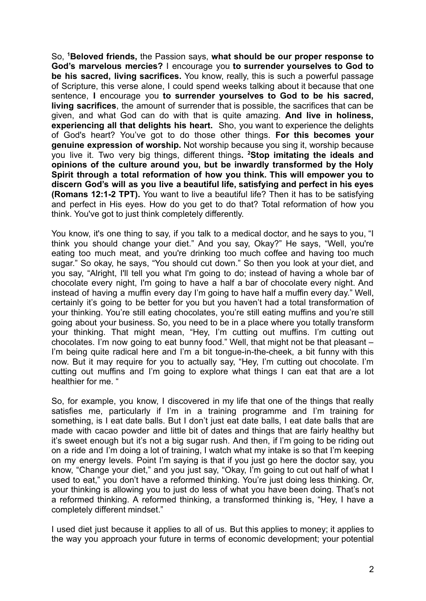So, **<sup>1</sup>Beloved friends,** the Passion says, **what should be our proper response to God's marvelous mercies?** I encourage you **to surrender yourselves to God to be his sacred, living sacrifices.** You know, really, this is such a powerful passage of Scripture, this verse alone, I could spend weeks talking about it because that one sentence, **I** encourage you **to surrender yourselves to God to be his sacred, living sacrifices**, the amount of surrender that is possible, the sacrifices that can be given, and what God can do with that is quite amazing. **And live in holiness, experiencing all that delights his heart.** Sho, you want to experience the delights of God's heart? You've got to do those other things. **For this becomes your genuine expression of worship.** Not worship because you sing it, worship because you live it. Two very big things, different things**. <sup>2</sup>Stop imitating the ideals and opinions of the culture around you, but be inwardly transformed by the Holy Spirit through a total reformation of how you think. This will empower you to discern God's will as you live a beautiful life, satisfying and perfect in his eyes (Romans 12:1-2 TPT).** You want to live a beautiful life? Then it has to be satisfying and perfect in His eyes. How do you get to do that? Total reformation of how you think. You've got to just think completely differently.

You know, it's one thing to say, if you talk to a medical doctor, and he says to you, "I think you should change your diet." And you say, Okay?" He says, "Well, you're eating too much meat, and you're drinking too much coffee and having too much sugar." So okay, he says, "You should cut down." So then you look at your diet, and you say, "Alright, I'll tell you what I'm going to do; instead of having a whole bar of chocolate every night, I'm going to have a half a bar of chocolate every night. And instead of having a muffin every day I'm going to have half a muffin every day." Well, certainly it's going to be better for you but you haven't had a total transformation of your thinking. You're still eating chocolates, you're still eating muffins and you're still going about your business. So, you need to be in a place where you totally transform your thinking. That might mean, "Hey, I'm cutting out muffins. I'm cutting out chocolates. I'm now going to eat bunny food." Well, that might not be that pleasant – I'm being quite radical here and I'm a bit tongue-in-the-cheek, a bit funny with this now. But it may require for you to actually say, "Hey, I'm cutting out chocolate. I'm cutting out muffins and I'm going to explore what things I can eat that are a lot healthier for me. "

So, for example, you know, I discovered in my life that one of the things that really satisfies me, particularly if I'm in a training programme and I'm training for something, is I eat date balls. But I don't just eat date balls, I eat date balls that are made with cacao powder and little bit of dates and things that are fairly healthy but it's sweet enough but it's not a big sugar rush. And then, if I'm going to be riding out on a ride and I'm doing a lot of training, I watch what my intake is so that I'm keeping on my energy levels. Point I'm saying is that if you just go here the doctor say, you know, "Change your diet," and you just say, "Okay, I'm going to cut out half of what I used to eat," you don't have a reformed thinking. You're just doing less thinking. Or, your thinking is allowing you to just do less of what you have been doing. That's not a reformed thinking. A reformed thinking, a transformed thinking is, "Hey, I have a completely different mindset."

I used diet just because it applies to all of us. But this applies to money; it applies to the way you approach your future in terms of economic development; your potential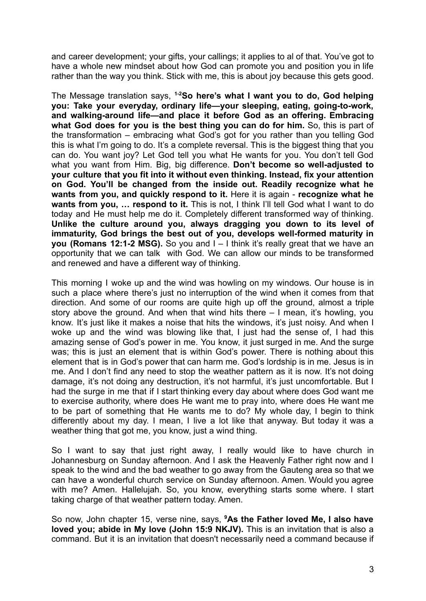and career development; your gifts, your callings; it applies to al of that. You've got to have a whole new mindset about how God can promote you and position you in life rather than the way you think. Stick with me, this is about joy because this gets good.

The Message translation says, **1-2So here's what I want you to do, God helping you: Take your everyday, ordinary life—your sleeping, eating, going-to-work, and walking-around life—and place it before God as an offering. Embracing what God does for you is the best thing you can do for him.** So, this is part of the transformation – embracing what God's got for you rather than you telling God this is what I'm going to do. It's a complete reversal. This is the biggest thing that you can do. You want joy? Let God tell you what He wants for you. You don't tell God what you want from Him. Big, big difference. **Don't become so well-adjusted to your culture that you fit into it without even thinking. Instead, fix your attention on God. You'll be changed from the inside out. Readily recognize what he wants from you, and quickly respond to it.** Here it is again - **recognize what he wants from you, … respond to it.** This is not, I think I'll tell God what I want to do today and He must help me do it. Completely different transformed way of thinking. **Unlike the culture around you, always dragging you down to its level of immaturity, God brings the best out of you, develops well-formed maturity in you (Romans 12:1-2 MSG).** So you and I – I think it's really great that we have an opportunity that we can talk with God. We can allow our minds to be transformed and renewed and have a different way of thinking.

This morning I woke up and the wind was howling on my windows. Our house is in such a place where there's just no interruption of the wind when it comes from that direction. And some of our rooms are quite high up off the ground, almost a triple story above the ground. And when that wind hits there – I mean, it's howling, you know. It's just like it makes a noise that hits the windows, it's just noisy. And when I woke up and the wind was blowing like that. I just had the sense of. I had this amazing sense of God's power in me. You know, it just surged in me. And the surge was; this is just an element that is within God's power. There is nothing about this element that is in God's power that can harm me. God's lordship is in me. Jesus is in me. And I don't find any need to stop the weather pattern as it is now. It's not doing damage, it's not doing any destruction, it's not harmful, it's just uncomfortable. But I had the surge in me that if I start thinking every day about where does God want me to exercise authority, where does He want me to pray into, where does He want me to be part of something that He wants me to do? My whole day, I begin to think differently about my day. I mean, I live a lot like that anyway. But today it was a weather thing that got me, you know, just a wind thing.

So I want to say that just right away, I really would like to have church in Johannesburg on Sunday afternoon. And I ask the Heavenly Father right now and I speak to the wind and the bad weather to go away from the Gauteng area so that we can have a wonderful church service on Sunday afternoon. Amen. Would you agree with me? Amen. Hallelujah. So, you know, everything starts some where. I start taking charge of that weather pattern today. Amen.

So now, John chapter 15, verse nine, says, **<sup>9</sup>As the Father loved Me, I also have loved you; abide in My love (John 15:9 NKJV).** This is an invitation that is also a command. But it is an invitation that doesn't necessarily need a command because if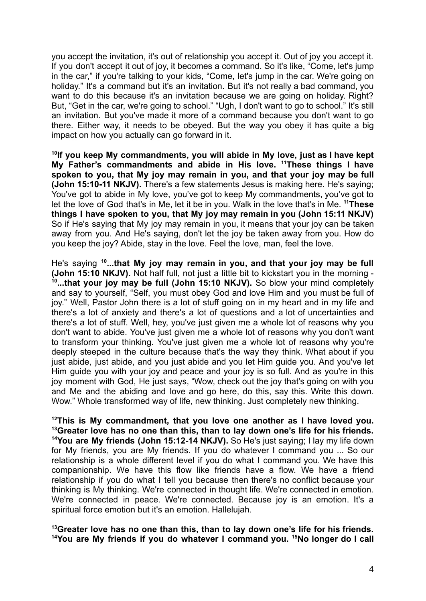you accept the invitation, it's out of relationship you accept it. Out of joy you accept it. If you don't accept it out of joy, it becomes a command. So it's like, "Come, let's jump in the car," if you're talking to your kids, "Come, let's jump in the car. We're going on holiday." It's a command but it's an invitation. But it's not really a bad command, you want to do this because it's an invitation because we are going on holiday. Right? But, "Get in the car, we're going to school." "Ugh, I don't want to go to school." It's still an invitation. But you've made it more of a command because you don't want to go there. Either way, it needs to be obeyed. But the way you obey it has quite a big impact on how you actually can go forward in it.

**10 If you keep My commandments, you will abide in My love, just as I have kept My Father's commandments and abide in His love. <sup>11</sup>These things I have spoken to you, that My joy may remain in you, and that your joy may be full (John 15:10-11 NKJV).** There's a few statements Jesus is making here. He's saying; You've got to abide in My love, you've got to keep My commandments, you've got to let the love of God that's in Me, let it be in you. Walk in the love that's in Me. **<sup>11</sup>These things I have spoken to you, that My joy may remain in you (John 15:11 NKJV)** So if He's saying that My joy may remain in you, it means that your joy can be taken away from you. And He's saying, don't let the joy be taken away from you. How do you keep the joy? Abide, stay in the love. Feel the love, man, feel the love.

He's saying **<sup>10</sup> ...that My joy may remain in you, and that your joy may be full (John 15:10 NKJV).** Not half full, not just a little bit to kickstart you in the morning - **10 ...that your joy may be full (John 15:10 NKJV).** So blow your mind completely and say to yourself, "Self, you must obey God and love Him and you must be full of joy." Well, Pastor John there is a lot of stuff going on in my heart and in my life and there's a lot of anxiety and there's a lot of questions and a lot of uncertainties and there's a lot of stuff. Well, hey, you've just given me a whole lot of reasons why you don't want to abide. You've just given me a whole lot of reasons why you don't want to transform your thinking. You've just given me a whole lot of reasons why you're deeply steeped in the culture because that's the way they think. What about if you just abide, just abide, and you just abide and you let Him guide you. And you've let Him guide you with your joy and peace and your joy is so full. And as you're in this joy moment with God, He just says, "Wow, check out the joy that's going on with you and Me and the abiding and love and go here, do this, say this. Write this down. Wow." Whole transformed way of life, new thinking. Just completely new thinking.

**<sup>12</sup>This is My commandment, that you love one another as I have loved you. <sup>13</sup>Greater love has no one than this, than to lay down one's life for his friends. <sup>14</sup>You are My friends (John 15:12-14 NKJV).** So He's just saying; I lay my life down for My friends, you are My friends. If you do whatever I command you ... So our relationship is a whole different level if you do what I command you. We have this companionship. We have this flow like friends have a flow. We have a friend relationship if you do what I tell you because then there's no conflict because your thinking is My thinking. We're connected in thought life. We're connected in emotion. We're connected in peace. We're connected. Because joy is an emotion. It's a spiritual force emotion but it's an emotion. Hallelujah.

**<sup>13</sup>Greater love has no one than this, than to lay down one's life for his friends. <sup>14</sup>You are My friends if you do whatever I command you. <sup>15</sup>No longer do I call**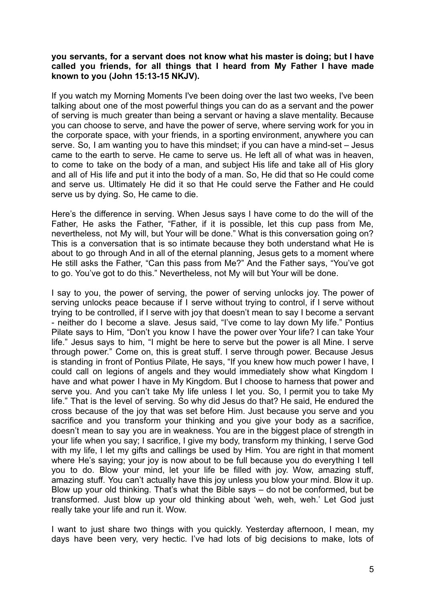## **you servants, for a servant does not know what his master is doing; but I have called you friends, for all things that I heard from My Father I have made known to you (John 15:13-15 NKJV).**

If you watch my Morning Moments I've been doing over the last two weeks, I've been talking about one of the most powerful things you can do as a servant and the power of serving is much greater than being a servant or having a slave mentality. Because you can choose to serve, and have the power of serve, where serving work for you in the corporate space, with your friends, in a sporting environment, anywhere you can serve. So, I am wanting you to have this mindset; if you can have a mind-set – Jesus came to the earth to serve. He came to serve us. He left all of what was in heaven, to come to take on the body of a man, and subject His life and take all of His glory and all of His life and put it into the body of a man. So, He did that so He could come and serve us. Ultimately He did it so that He could serve the Father and He could serve us by dying. So, He came to die.

Here's the difference in serving. When Jesus says I have come to do the will of the Father, He asks the Father, "Father, if it is possible, let this cup pass from Me, nevertheless, not My will, but Your will be done." What is this conversation going on? This is a conversation that is so intimate because they both understand what He is about to go through And in all of the eternal planning, Jesus gets to a moment where He still asks the Father, "Can this pass from Me?" And the Father says, "You've got to go. You've got to do this." Nevertheless, not My will but Your will be done.

I say to you, the power of serving, the power of serving unlocks joy. The power of serving unlocks peace because if I serve without trying to control, if I serve without trying to be controlled, if I serve with joy that doesn't mean to say I become a servant - neither do I become a slave. Jesus said, "I've come to lay down My life." Pontius Pilate says to Him, "Don't you know I have the power over Your life? I can take Your life." Jesus says to him, "I might be here to serve but the power is all Mine. I serve through power." Come on, this is great stuff. I serve through power. Because Jesus is standing in front of Pontius Pilate, He says, "If you knew how much power I have, I could call on legions of angels and they would immediately show what Kingdom I have and what power I have in My Kingdom. But I choose to harness that power and serve you. And you can't take My life unless I let you. So, I permit you to take My life." That is the level of serving. So why did Jesus do that? He said, He endured the cross because of the joy that was set before Him. Just because you serve and you sacrifice and you transform your thinking and you give your body as a sacrifice, doesn't mean to say you are in weakness. You are in the biggest place of strength in your life when you say; I sacrifice, I give my body, transform my thinking, I serve God with my life, I let my gifts and callings be used by Him. You are right in that moment where He's saying; your joy is now about to be full because you do everything I tell you to do. Blow your mind, let your life be filled with joy. Wow, amazing stuff, amazing stuff. You can't actually have this joy unless you blow your mind. Blow it up. Blow up your old thinking. That's what the Bible says – do not be conformed, but be transformed. Just blow up your old thinking about 'weh, weh, weh.' Let God just really take your life and run it. Wow.

I want to just share two things with you quickly. Yesterday afternoon, I mean, my days have been very, very hectic. I've had lots of big decisions to make, lots of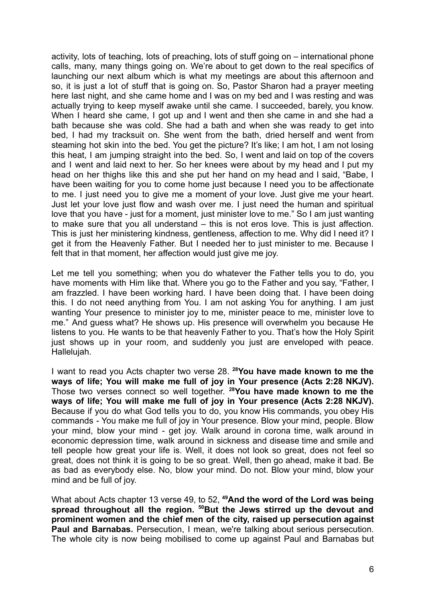activity, lots of teaching, lots of preaching, lots of stuff going on – international phone calls, many, many things going on. We're about to get down to the real specifics of launching our next album which is what my meetings are about this afternoon and so, it is just a lot of stuff that is going on. So, Pastor Sharon had a prayer meeting here last night, and she came home and I was on my bed and I was resting and was actually trying to keep myself awake until she came. I succeeded, barely, you know. When I heard she came. I got up and I went and then she came in and she had a bath because she was cold. She had a bath and when she was ready to get into bed, I had my tracksuit on. She went from the bath, dried herself and went from steaming hot skin into the bed. You get the picture? It's like; I am hot, I am not losing this heat, I am jumping straight into the bed. So, I went and laid on top of the covers and I went and laid next to her. So her knees were about by my head and I put my head on her thighs like this and she put her hand on my head and I said, "Babe, I have been waiting for you to come home just because I need you to be affectionate to me. I just need you to give me a moment of your love. Just give me your heart. Just let your love just flow and wash over me. I just need the human and spiritual love that you have - just for a moment, just minister love to me." So I am just wanting to make sure that you all understand – this is not eros love. This is just affection. This is just her ministering kindness, gentleness, affection to me. Why did I need it? I get it from the Heavenly Father. But I needed her to just minister to me. Because I felt that in that moment, her affection would just give me joy.

Let me tell you something; when you do whatever the Father tells you to do, you have moments with Him like that. Where you go to the Father and you say, "Father, I am frazzled. I have been working hard. I have been doing that. I have been doing this. I do not need anything from You. I am not asking You for anything. I am just wanting Your presence to minister joy to me, minister peace to me, minister love to me." And guess what? He shows up. His presence will overwhelm you because He listens to you. He wants to be that heavenly Father to you. That's how the Holy Spirit just shows up in your room, and suddenly you just are enveloped with peace. Hallelujah.

I want to read you Acts chapter two verse 28. **<sup>28</sup>You have made known to me the ways of life; You will make me full of joy in Your presence (Acts 2:28 NKJV).** Those two verses connect so well together. **<sup>28</sup>You have made known to me the ways of life; You will make me full of joy in Your presence (Acts 2:28 NKJV).** Because if you do what God tells you to do, you know His commands, you obey His commands - You make me full of joy in Your presence. Blow your mind, people. Blow your mind, blow your mind - get joy. Walk around in corona time, walk around in economic depression time, walk around in sickness and disease time and smile and tell people how great your life is. Well, it does not look so great, does not feel so great, does not think it is going to be so great. Well, then go ahead, make it bad. Be as bad as everybody else. No, blow your mind. Do not. Blow your mind, blow your mind and be full of joy.

What about Acts chapter 13 verse 49, to 52, **<sup>49</sup>And the word of the Lord was being spread throughout all the region. <sup>50</sup>But the Jews stirred up the devout and prominent women and the chief men of the city, raised up persecution against Paul and Barnabas.** Persecution, I mean, we're talking about serious persecution. The whole city is now being mobilised to come up against Paul and Barnabas but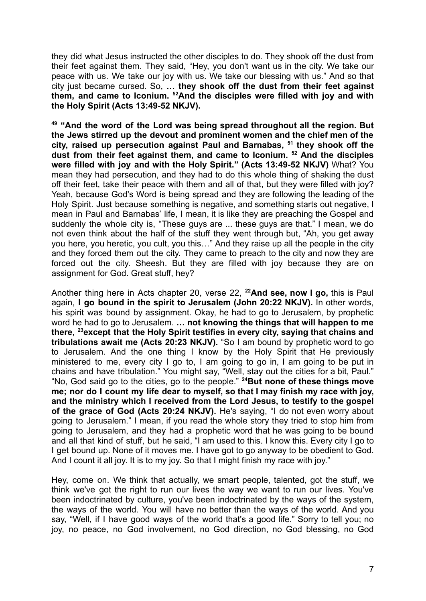they did what Jesus instructed the other disciples to do. They shook off the dust from their feet against them. They said, "Hey, you don't want us in the city. We take our peace with us. We take our joy with us. We take our blessing with us." And so that city just became cursed. So, **… they shook off the dust from their feet against them, and came to Iconium. <sup>52</sup>And the disciples were filled with joy and with the Holy Spirit (Acts 13:49-52 NKJV).**

**<sup>49</sup> "And the word of the Lord was being spread throughout all the region. But the Jews stirred up the devout and prominent women and the chief men of the city, raised up persecution against Paul and Barnabas, <sup>51</sup> they shook off the dust from their feet against them, and came to Iconium. <sup>52</sup> And the disciples were filled with joy and with the Holy Spirit." (Acts 13:49-52 NKJV)** What? You mean they had persecution, and they had to do this whole thing of shaking the dust off their feet, take their peace with them and all of that, but they were filled with joy? Yeah, because God's Word is being spread and they are following the leading of the Holy Spirit. Just because something is negative, and something starts out negative, I mean in Paul and Barnabas' life, I mean, it is like they are preaching the Gospel and suddenly the whole city is, "These guys are ... these guys are that." I mean, we do not even think about the half of the stuff they went through but, "Ah, you get away you here, you heretic, you cult, you this…" And they raise up all the people in the city and they forced them out the city. They came to preach to the city and now they are forced out the city. Sheesh. But they are filled with joy because they are on assignment for God. Great stuff, hey?

Another thing here in Acts chapter 20, verse 22, **<sup>22</sup>And see, now I go,** this is Paul again, **I go bound in the spirit to Jerusalem (John 20:22 NKJV).** In other words, his spirit was bound by assignment. Okay, he had to go to Jerusalem, by prophetic word he had to go to Jerusalem. **… not knowing the things that will happen to me there, <sup>23</sup>except that the Holy Spirit testifies in every city, saying that chains and tribulations await me (Acts 20:23 NKJV).** "So I am bound by prophetic word to go to Jerusalem. And the one thing I know by the Holy Spirit that He previously ministered to me, every city I go to, I am going to go in, I am going to be put in chains and have tribulation." You might say, "Well, stay out the cities for a bit, Paul." "No, God said go to the cities, go to the people." **<sup>24</sup>But none of these things move me; nor do I count my life dear to myself, so that I may finish my race with joy, and the ministry which I received from the Lord Jesus, to testify to the gospel of the grace of God (Acts 20:24 NKJV).** He's saying, "I do not even worry about going to Jerusalem." I mean, if you read the whole story they tried to stop him from going to Jerusalem, and they had a prophetic word that he was going to be bound and all that kind of stuff, but he said, "I am used to this. I know this. Every city I go to I get bound up. None of it moves me. I have got to go anyway to be obedient to God. And I count it all joy. It is to my joy. So that I might finish my race with joy."

Hey, come on. We think that actually, we smart people, talented, got the stuff, we think we've got the right to run our lives the way we want to run our lives. You've been indoctrinated by culture, you've been indoctrinated by the ways of the system, the ways of the world. You will have no better than the ways of the world. And you say, "Well, if I have good ways of the world that's a good life." Sorry to tell you; no joy, no peace, no God involvement, no God direction, no God blessing, no God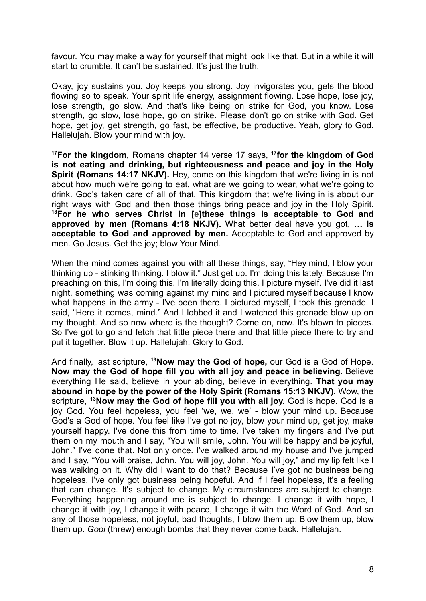favour. You may make a way for yourself that might look like that. But in a while it will start to crumble. It can't be sustained. It's just the truth.

Okay, joy sustains you. Joy keeps you strong. Joy invigorates you, gets the blood flowing so to speak. Your spirit life energy, assignment flowing. Lose hope, lose joy, lose strength, go slow. And that's like being on strike for God, you know. Lose strength, go slow, lose hope, go on strike. Please don't go on strike with God. Get hope, get joy, get strength, go fast, be effective, be productive. Yeah, glory to God. Hallelujah. Blow your mind with joy.

**<sup>17</sup>For the kingdom**, Romans chapter 14 verse 17 says, **<sup>17</sup> for the kingdom of God is not eating and drinking, but righteousness and peace and joy in the Holy Spirit (Romans 14:17 NKJV).** Hey, come on this kingdom that we're living in is not about how much we're going to eat, what are we going to wear, what we're going to drink. God's taken care of all of that. This kingdom that we're living in is about our right ways with God and then those things bring peace and joy in the Holy Spirit. **<sup>18</sup>For he who serves Christ in [[e](https://www.biblegateway.com/passage/?search=Romans+14&version=NKJV#fen-NKJV-28299e)]these things is acceptable to God and approved by men (Romans 4:18 NKJV).** What better deal have you got, **… is acceptable to God and approved by men.** Acceptable to God and approved by men. Go Jesus. Get the joy; blow Your Mind.

When the mind comes against you with all these things, say, "Hey mind, I blow your thinking up - stinking thinking. I blow it." Just get up. I'm doing this lately. Because I'm preaching on this, I'm doing this. I'm literally doing this. I picture myself. I've did it last night, something was coming against my mind and I pictured myself because I know what happens in the army - I've been there. I pictured myself, I took this grenade. I said, "Here it comes, mind." And I lobbed it and I watched this grenade blow up on my thought. And so now where is the thought? Come on, now. It's blown to pieces. So I've got to go and fetch that little piece there and that little piece there to try and put it together. Blow it up. Hallelujah. Glory to God.

And finally, last scripture, **<sup>13</sup>Now may the God of hope,** our God is a God of Hope. **Now may the God of hope fill you with all joy and peace in believing.** Believe everything He said, believe in your abiding, believe in everything. **That you may abound in hope by the power of the Holy Spirit (Romans 15:13 NKJV).** Wow, the scripture, **<sup>13</sup>Now may the God of hope fill you with all joy.** God is hope. God is a joy God. You feel hopeless, you feel 'we, we, we' - blow your mind up. Because God's a God of hope. You feel like I've got no joy, blow your mind up, get joy, make yourself happy. I've done this from time to time. I've taken my fingers and I've put them on my mouth and I say, "You will smile, John. You will be happy and be joyful, John." I've done that. Not only once. I've walked around my house and I've jumped and I say, "You will praise, John. You will joy, John. You will joy," and my lip felt like I was walking on it. Why did I want to do that? Because I've got no business being hopeless. I've only got business being hopeful. And if I feel hopeless, it's a feeling that can change. It's subject to change. My circumstances are subject to change. Everything happening around me is subject to change. I change it with hope, I change it with joy, I change it with peace, I change it with the Word of God. And so any of those hopeless, not joyful, bad thoughts, I blow them up. Blow them up, blow them up. *Gooi* (threw) enough bombs that they never come back. Hallelujah.